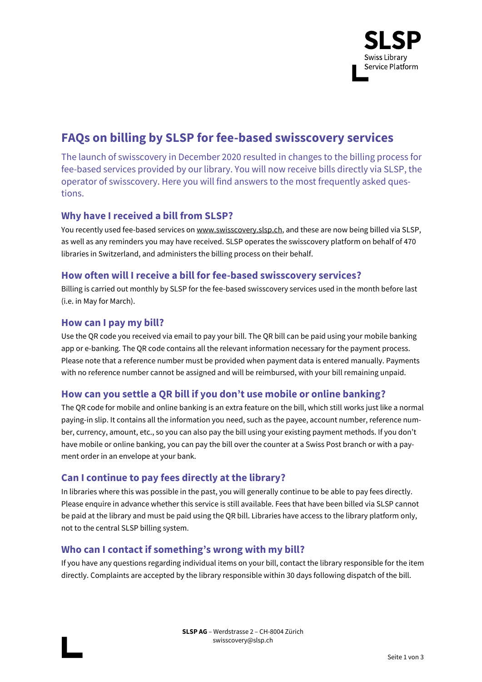

# **FAQs on billing by SLSP for fee-based swisscovery services**

The launch of swisscovery in December 2020 resulted in changes to the billing process for fee-based services provided by our library. You will now receive bills directly via SLSP, the operator of swisscovery. Here you will find answers to the most frequently asked questions.

## **Why have I received a bill from SLSP?**

You recently used fee-based services o[n www.swisscovery.slsp.ch,](https://slspag.sharepoint.com/sites/WorkPackagesI2/Freigegebene%20Dokumente/WP-%20Invoicing%20(IN)%20-%20Workflow%20(WF)/www.swisscovery.slsp.ch) and these are now being billed via SLSP, as well as any reminders you may have received. SLSP operates the swisscovery platform on behalf of 470 libraries in Switzerland, and administers the billing process on their behalf.

## **How often will I receive a bill for fee-based swisscovery services?**

Billing is carried out monthly by SLSP for the fee-based swisscovery services used in the month before last (i.e. in May for March).

#### **How can I pay my bill?**

Use the QR code you received via email to pay your bill. The QR bill can be paid using your mobile banking app or e-banking. The QR code contains all the relevant information necessary for the payment process. Please note that a reference number must be provided when payment data is entered manually. Payments with no reference number cannot be assigned and will be reimbursed, with your bill remaining unpaid.

# **How can you settle a QR bill if you don't use mobile or online banking?**

The QR code for mobile and online banking is an extra feature on the bill, which still works just like a normal paying-in slip. It contains all the information you need, such as the payee, account number, reference number, currency, amount, etc., so you can also pay the bill using your existing payment methods. If you don't have mobile or online banking, you can pay the bill over the counter at a Swiss Post branch or with a payment order in an envelope at your bank.

#### **Can I continue to pay fees directly at the library?**

In libraries where this was possible in the past, you will generally continue to be able to pay fees directly. Please enquire in advance whether this service is still available. Fees that have been billed via SLSP cannot be paid at the library and must be paid using the QR bill. Libraries have access to the library platform only, not to the central SLSP billing system.

#### **Who can I contact if something's wrong with my bill?**

If you have any questions regarding individual items on your bill, contact the library responsible for the item directly. Complaints are accepted by the library responsible within 30 days following dispatch of the bill.

> **SLSP AG** – Werdstrasse 2 – CH-8004 Zürich swisscovery@slsp.ch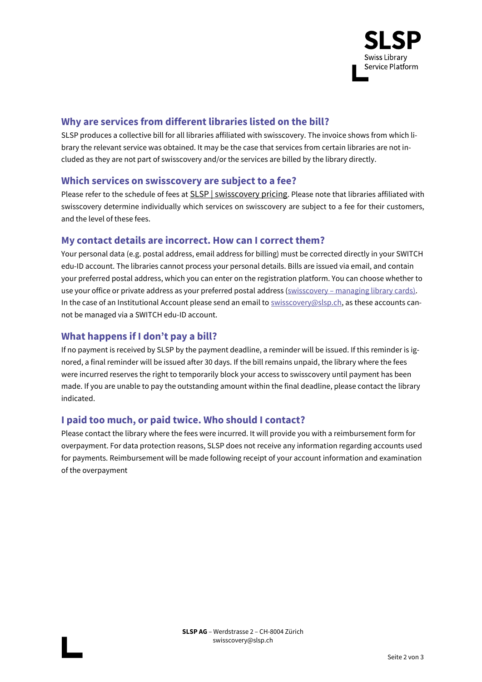

## **Why are services from different libraries listed on the bill?**

SLSP produces a collective bill for all libraries affiliated with swisscovery. The invoice shows from which library the relevant service was obtained. It may be the case that services from certain libraries are not included as they are not part of swisscovery and/or the services are billed by the library directly.

#### **Which services on swisscovery are subject to a fee?**

Please refer to the schedule of fees at [SLSP | swisscovery pricing](https://slsp.ch/en/fees). Please note that libraries affiliated with swisscovery determine individually which services on swisscovery are subject to a fee for their customers, and the level of these fees.

#### **My contact details are incorrect. How can I correct them?**

Your personal data (e.g. postal address, email address for billing) must be corrected directly in your SWITCH edu-ID account. The libraries cannot process your personal details. Bills are issued via email, and contain your preferred postal address, which you can enter on the registration platform. You can choose whether to use your office or private address as your preferred postal address (swisscovery – [managing library cards\).](https://registration.slsp.ch/library-card/?lang=en) In the case of an Institutional Account please send an email t[o swisscovery@slsp.ch,](mailto:swisscovery@slsp.ch) as these accounts cannot be managed via a SWITCH edu-ID account.

#### **What happens if I don't pay a bill?**

If no payment is received by SLSP by the payment deadline, a reminder will be issued. If this reminder is ignored, a final reminder will be issued after 30 days. If the bill remains unpaid, the library where the fees were incurred reserves the right to temporarily block your access to swisscovery until payment has been made. If you are unable to pay the outstanding amount within the final deadline, please contact the library indicated.

#### **I paid too much, or paid twice. Who should I contact?**

Please contact the library where the fees were incurred. It will provide you with a reimbursement form for overpayment. For data protection reasons, SLSP does not receive any information regarding accounts used for payments. Reimbursement will be made following receipt of your account information and examination of the overpayment